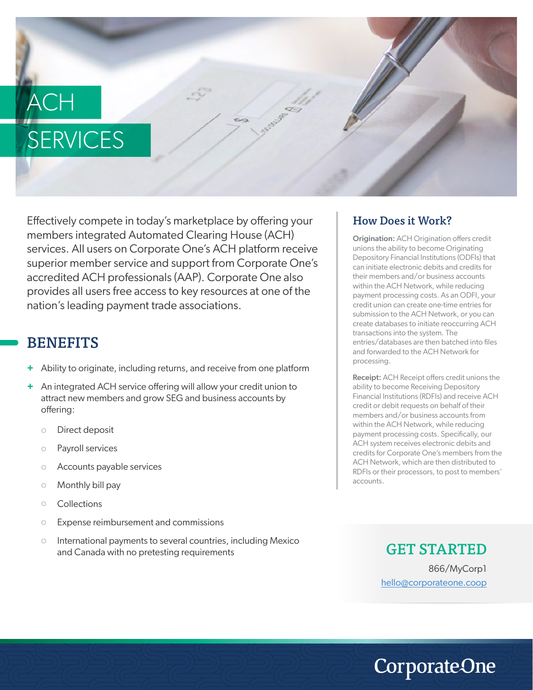# ACH **SERVICES**

Effectively compete in today's marketplace by offering your members integrated Automated Clearing House (ACH) services. All users on Corporate One's ACH platform receive superior member service and support from Corporate One's accredited ACH professionals (AAP). Corporate One also provides all users free access to key resources at one of the nation's leading payment trade associations.

## **BENEFITS**

- Ability to originate, including returns, and receive from one platform **+**
- An integrated ACH service offering will allow your credit union to **+** attract new members and grow SEG and business accounts by offering:
	- Direct deposit o
	- Payroll services o
	- Accounts payable services o
	- Monthly bill pay o
	- Collections o
	- Expense reimbursement and commissions o
	- International payments to several countries, including Mexico and Canada with no pretesting requirements o

### How Does it Work?

Origination: ACH Origination offers credit unions the ability to become Originating Depository Financial Institutions (ODFIs) that can initiate electronic debits and credits for their members and/or business accounts within the ACH Network, while reducing payment processing costs. As an ODFI, your credit union can create one-time entries for submission to the ACH Network, or you can create databases to initiate reoccurring ACH transactions into the system. The entries/databases are then batched into files and forwarded to the ACH Network for processing.

Receipt: ACH Receipt offers credit unions the ability to become Receiving Depository Financial Institutions (RDFIs) and receive ACH credit or debit requests on behalf of their members and/or business accounts from within the ACH Network, while reducing payment processing costs. Specifically, our ACH system receives electronic debits and credits for Corporate One's members from the ACH Network, which are then distributed to RDFIs or their processors, to post to members' accounts.

> GET STARTED 866/MyCorp1 hello@corporateone.coop

**CorporateOne**